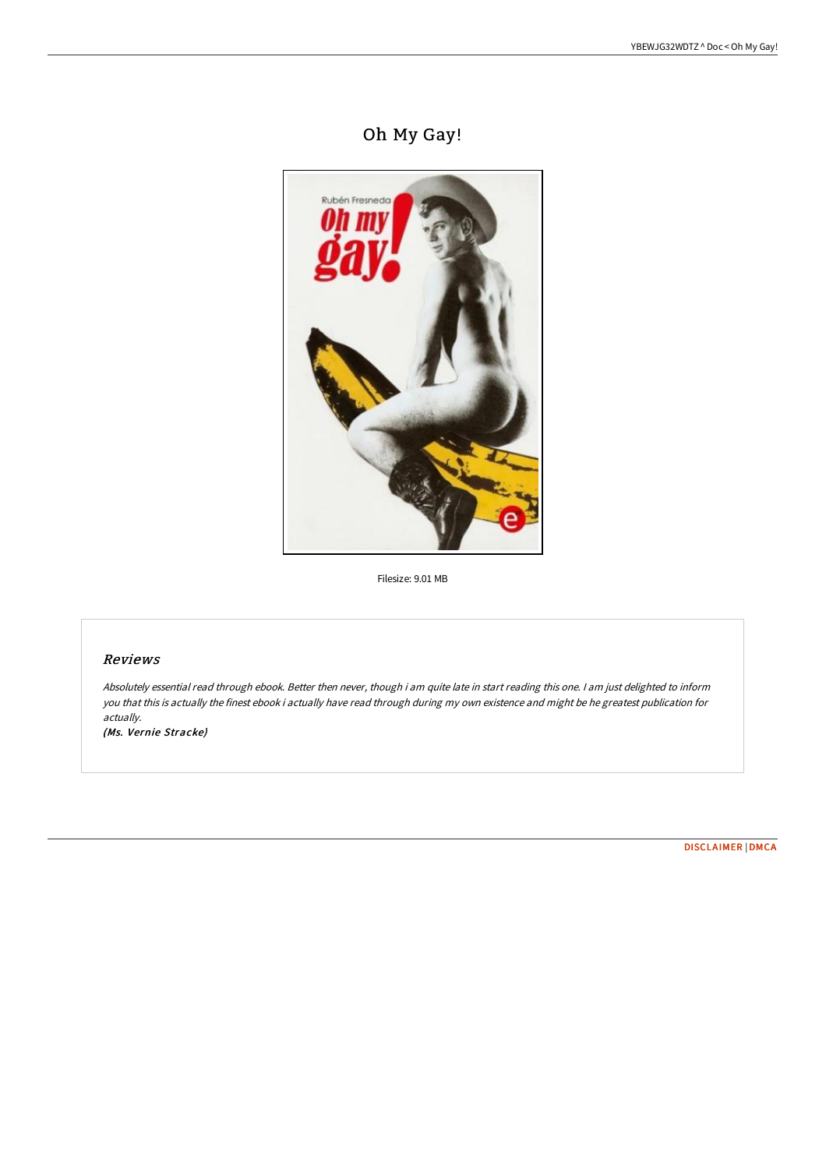# Oh My Gay!



Filesize: 9.01 MB

## Reviews

Absolutely essential read through ebook. Better then never, though i am quite late in start reading this one. <sup>I</sup> am just delighted to inform you that this is actually the finest ebook i actually have read through during my own existence and might be he greatest publication for actually.

(Ms. Vernie Stracke)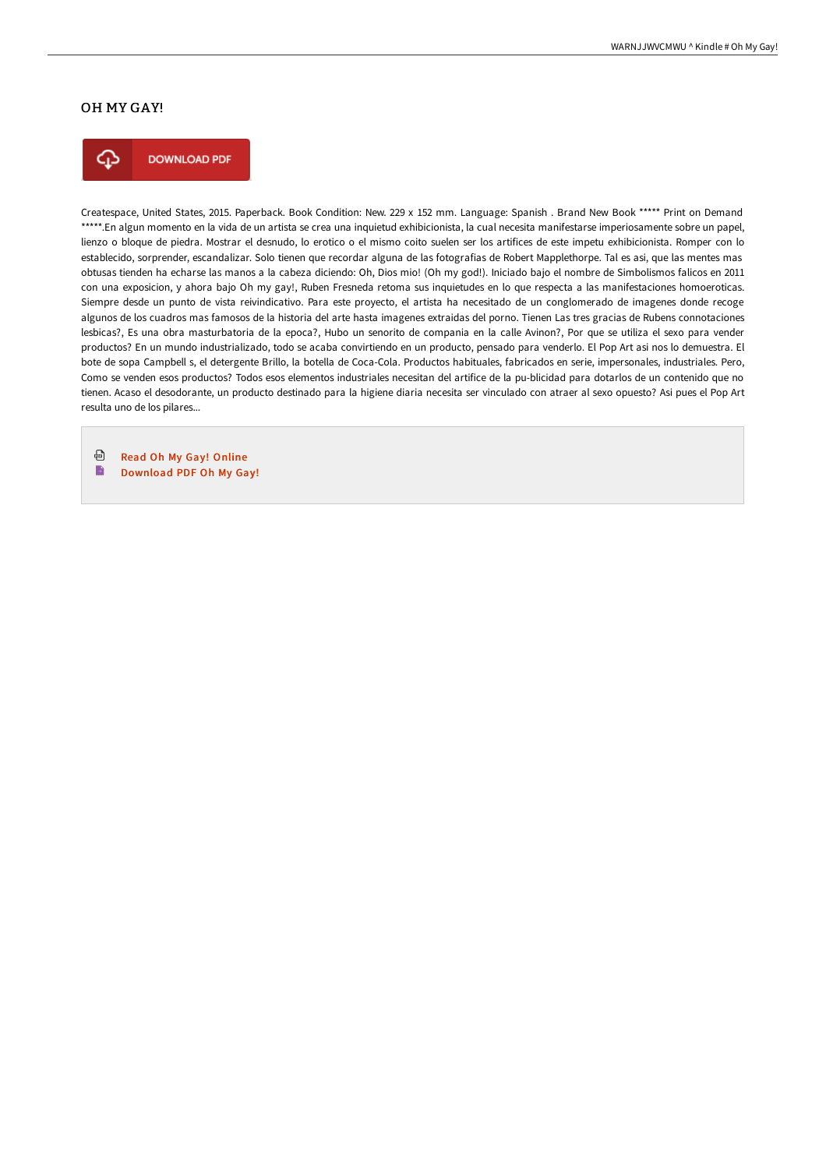## OH MY GAY!



**DOWNLOAD PDF** 

Createspace, United States, 2015. Paperback. Book Condition: New. 229 x 152 mm. Language: Spanish . Brand New Book \*\*\*\*\* Print on Demand \*\*\*\*\*.En algun momento en la vida de un artista se crea una inquietud exhibicionista, la cual necesita manifestarse imperiosamente sobre un papel, lienzo o bloque de piedra. Mostrar el desnudo, lo erotico o el mismo coito suelen ser los artifices de este impetu exhibicionista. Romper con lo establecido, sorprender, escandalizar. Solo tienen que recordar alguna de las fotografias de Robert Mapplethorpe. Tal es asi, que las mentes mas obtusas tienden ha echarse las manos a la cabeza diciendo: Oh, Dios mio! (Oh my god!). Iniciado bajo el nombre de Simbolismos falicos en 2011 con una exposicion, y ahora bajo Oh my gay!, Ruben Fresneda retoma sus inquietudes en lo que respecta a las manifestaciones homoeroticas. Siempre desde un punto de vista reivindicativo. Para este proyecto, el artista ha necesitado de un conglomerado de imagenes donde recoge algunos de los cuadros mas famosos de la historia del arte hasta imagenes extraidas del porno. Tienen Las tres gracias de Rubens connotaciones lesbicas?, Es una obra masturbatoria de la epoca?, Hubo un senorito de compania en la calle Avinon?, Por que se utiliza el sexo para vender productos? En un mundo industrializado, todo se acaba convirtiendo en un producto, pensado para venderlo. El Pop Art asi nos lo demuestra. El bote de sopa Campbell s, el detergente Brillo, la botella de Coca-Cola. Productos habituales, fabricados en serie, impersonales, industriales. Pero, Como se venden esos productos? Todos esos elementos industriales necesitan del artifice de la pu-blicidad para dotarlos de un contenido que no tienen. Acaso el desodorante, un producto destinado para la higiene diaria necesita ser vinculado con atraer al sexo opuesto? Asi pues el Pop Art resulta uno de los pilares...

⊕ Read Oh My Gay! [Online](http://albedo.media/oh-my-gay-paperback.html) B [Download](http://albedo.media/oh-my-gay-paperback.html) PDF Oh My Gay!